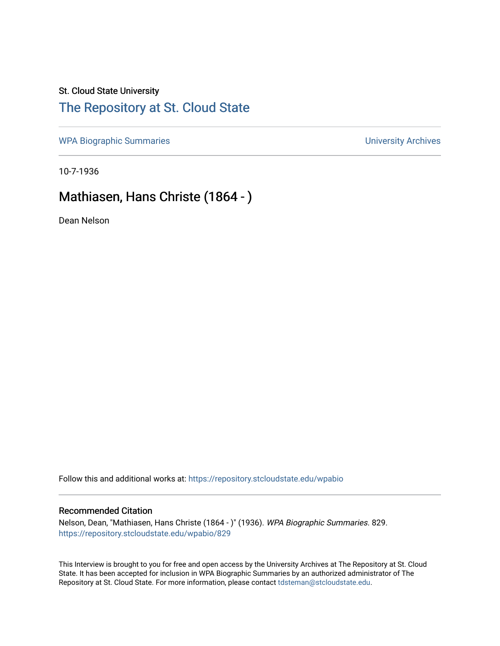### St. Cloud State University

# [The Repository at St. Cloud State](https://repository.stcloudstate.edu/)

[WPA Biographic Summaries](https://repository.stcloudstate.edu/wpabio) **WPA Biographic Summaries University Archives** 

10-7-1936

# Mathiasen, Hans Christe (1864 - )

Dean Nelson

Follow this and additional works at: [https://repository.stcloudstate.edu/wpabio](https://repository.stcloudstate.edu/wpabio?utm_source=repository.stcloudstate.edu%2Fwpabio%2F829&utm_medium=PDF&utm_campaign=PDFCoverPages) 

#### Recommended Citation

Nelson, Dean, "Mathiasen, Hans Christe (1864 - )" (1936). WPA Biographic Summaries. 829. [https://repository.stcloudstate.edu/wpabio/829](https://repository.stcloudstate.edu/wpabio/829?utm_source=repository.stcloudstate.edu%2Fwpabio%2F829&utm_medium=PDF&utm_campaign=PDFCoverPages) 

This Interview is brought to you for free and open access by the University Archives at The Repository at St. Cloud State. It has been accepted for inclusion in WPA Biographic Summaries by an authorized administrator of The Repository at St. Cloud State. For more information, please contact [tdsteman@stcloudstate.edu.](mailto:tdsteman@stcloudstate.edu)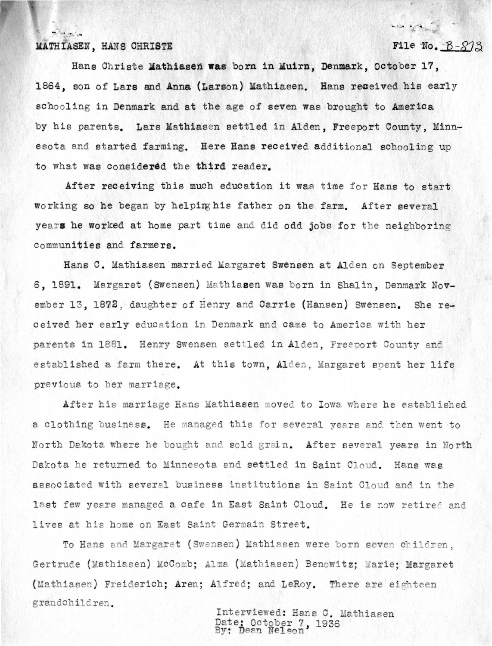## MATHIASEN, HANS CHRISTE

 $\sqrt{2}$ 

File No.  $B-S13$ 

mes of the

Hans Christe Mathiasen was born in Muirn, Denmark, October 17, 1864, son of Lars and **Anna** (Larson) Mathiasen. Hans received his early schooling in Denmark and at the age of seven was brought to America by his parents. Lars Mathiasen settled in Alden, Freeport County, Minnesota and started farming. Here Hans received additional schooling up to what was considered the third reader.

After receiving this much education it was time for Hans to start working so he began by helpirghis father on the farm. After several years he worked at home part time and did odd jobs for the neighboring communities and fa.rmers.

Hans C. Mathiasen married Margaret Swensen at Alden on September 6, 1891. Margaret (Swensen) Mathiasen was born in Shalin, Denmark November 13, 1872, daughter of Henry and Carrie (Hansen) Swensen. She received her early education in Denmark and came to America with her parents in 1881. Henry Swensen settled in Alden, Freeport County and established a farm there. At this town, Alden, Margaret spent her life previous to her marriage.

After his marriage Hans Mathiasen moved to Iowa where he established a clothing business. He managed this for several years and then went to North Dakota where he bought and sold grain. After several years in North Dakota he returned to Minnesota and settled in Saint Cloud. Hans was associated with several business institutions in Saint Cloud and in the last few years managed a cafe in East Saint Cloud. He is now retired and lives at his home on East Saint Germain Street.

To Hans and Margaret (Swensen) Mathiasen were born seven children. Gertrude (Mathiasen) McComb; Alma (Mathiasen) Benowitz; Marie; Margaret (Mathiasen) Freiderich; Aren; Alfred; and LeRoy. There are eighteen grandchildren.

Interviewed: Hans C. Mathiasen Date: October 7, 1936<br>By: Dean Nelson, 1936